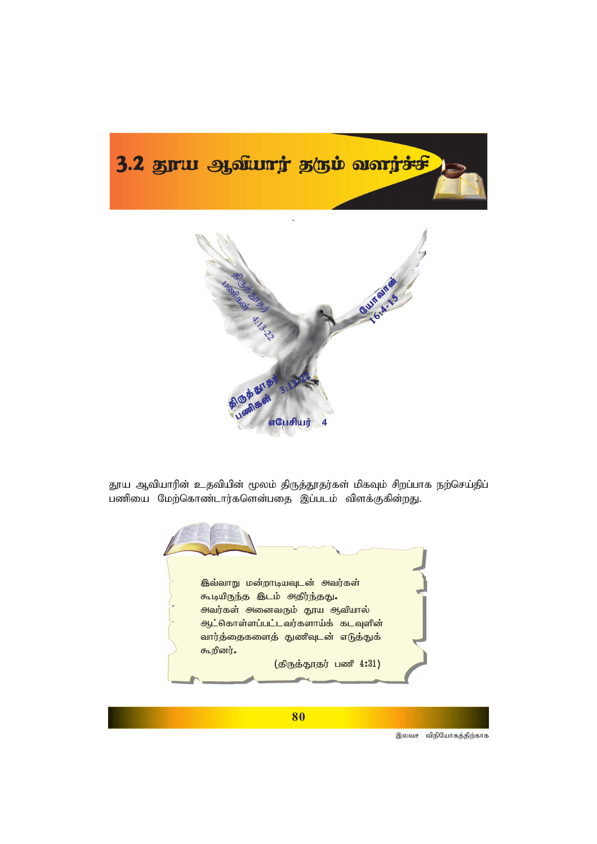



தூய ஆவியாரின் உதவியின் மூலம் திருத்தூதர்கள் மிகவும் சிறப்பாக நற்செய்திப் பணியை மேற்கொண்டார்களென்பதை இப்படம் விளக்குகின்றது.

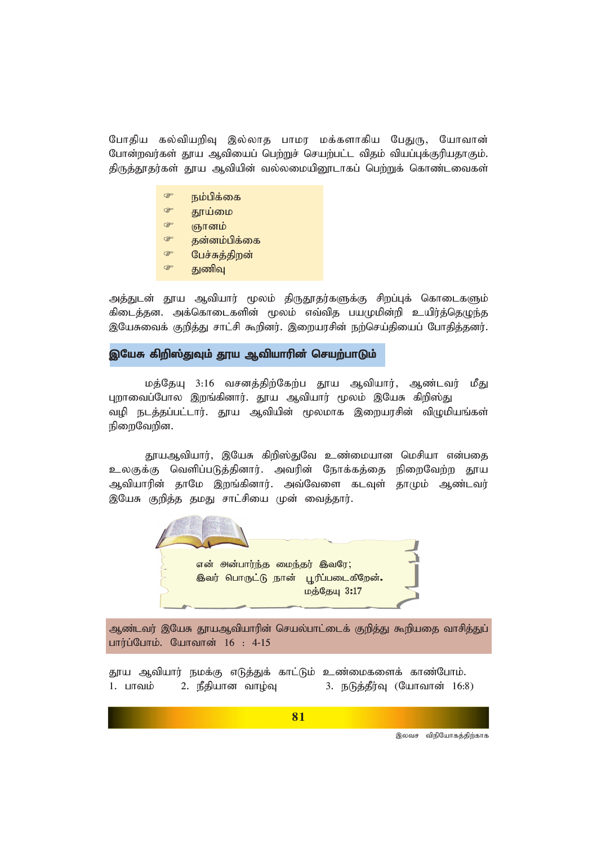போதிய கல்வியறிவு இல்லாத பாமர மக்களாகிய பேதுரு, யோவான் போன்றவர்கள் தூய ஆவியைப் பெற்றுச் செயற்பட்ட விதம் வியப்புக்குரியதாகும். திருத்தூதர்கள் தூய ஆவியின் வல்லமையினூடாகப் பெற்றுக் கொண்டவைகள்

- **P** நம்பிக்கை
- **PET** தூய்மை
- œ ஞானம்
- $G^*$ தன்னம்பிக்கை
- $\circledcirc$ பேச்சுத்திறன்
- œ குணிவு

அத்துடன் தூய ஆவியார் மூலம் திருதூதர்களுக்கு சிறப்புக் கொடைகளும் கிடைத்தன. அக்கொடைகளின் மூலம் எவ்வித பயமுமின்றி உயிர்த்தெழுந்த இயேசுவைக் குறித்து சாட்சி கூறினர். இறையரசின் நற்செய்தியைப் போதித்தனர்.

### இயேசு கிறிஸ்துவும் தூய ஆவியாரின் செயற்பாடும்

மத்தேயு 3:16 வசனத்திற்கேற்ப தூய ஆவியார், ஆண்டவர் மீது புறாவைப்போல இறங்கினார். தூய ஆவியார் மூலம் இயேசு கிறிஸ்து வழி நடத்தப்பட்டார். தூய ஆவியின் மூலமாக இறையரசின் விழுமியங்கள் நிறைவேறின.

காயஆவியார், இயேசு கிறிஸ்துவே உண்மையான மெசியா என்பதை உலகுக்கு வெளிப்படுத்தினார். அவரின் நோக்கத்தை நிறைவேற்ற தூய ஆவியாரின் தாமே இறங்கினார். அவ்வேளை கடவுள் தாமும் ஆண்டவர் இயேசு குறித்த தமது சாட்சியை முன் வைத்தார்.



ஆண்டவர் இயேசு தூயஆவியாரின் செயல்பாட்டைக் குறித்து கூறியதை வாசித்துப் பார்ப்போம். யோவான்  $16: 4-15$ 

தூய ஆவியார் நமக்கு எடுத்துக் காட்டும் உண்மைகளைக் காண்போம். 2. நீதியான வாழ்வு 1. பாவம் 3. நடுத்தீர்வு (யோவான் 16:8)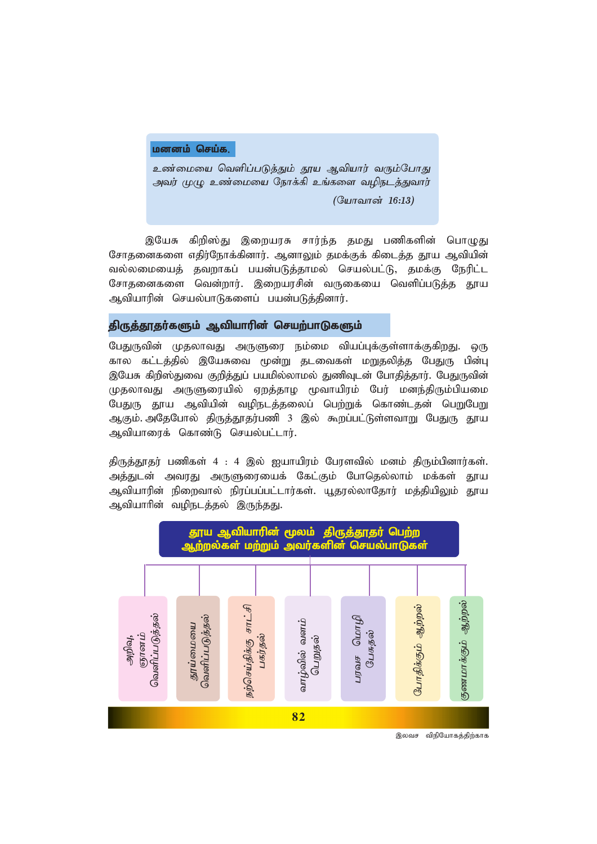#### **மனனம் செய்க,**

உண்மையை வெளிப்படுத்தும் தூய ஆவியார் வரும்போது அவர் முழு உண்மையை நோக்கி உங்களை வழிநடத்துவார்

*(யோவான் 16:13)* 

இயேசு கிறிஸ்து இறையரசு சார்ந்த தமது பணிகளின் பொழுது சோதனைகளை எதிர்நோக்கினார். ஆனாலும் தமக்குக் கிடைத்த தூய ஆவியின் வல்லமையைத் தவறாகப் பயன்படுத்தாமல் செயல்பட்டு, தமக்கு நேரிட்ட சோதனைகளை வென்றார். இறையரசின் வருகையை வெளிப்படுத்த தூய ஆவியாரின் செயல்பாடுகளைப் பயன்படுத்தினார்.

## திருத்தூதர்களும் ஆவியாரின் செயற்பாடுகளும்

பேதுருவின் முதலாவது அருளுரை நம்மை வியப்புக்குள்ளாக்குகிறது. ஒரு கால கட்டத்தில் இயேசுவை மூன்று தடவைகள் மறுதலித்த பேதுரு பின்பு இயேசு கிறிஸ்துவை குறித்துப் பயமில்லாமல் துணிவுடன் போதித்தார். பேதுருவின் முதலாவது அருளுரையில் ஏறத்தாழ மூவாயிரம் பேர் மனந்திரும்பியமை பேதுரு தூய ஆவியின் வழிநடத்தலைப் பெற்றுக் கொண்டதன் பெறுபேறு ஆகும். அதேபோல் திருத்தூதர்பணி 3 இல் கூறப்பட்டுள்ளவாறு பேதுரு தூய ஆவியாரைக் கொண்டு செயல்பட்டார்.

திருத்தூதர் பணிகள் 4 : 4 இல் ஐயாயிரம் பேரளவில் மனம் திரும்பினார்கள். அத்துடன் அவரது அருளுரையைக் கேட்கும் போதெல்லாம் மக்கள் தூய ஆவியாரின் நிறைவால் நிரப்பப்பட்டார்கள். யூதரல்லாதோர் மத்தியிலும் தூய ஆவியாரின் வழிநடத்தல் இருந்தது.

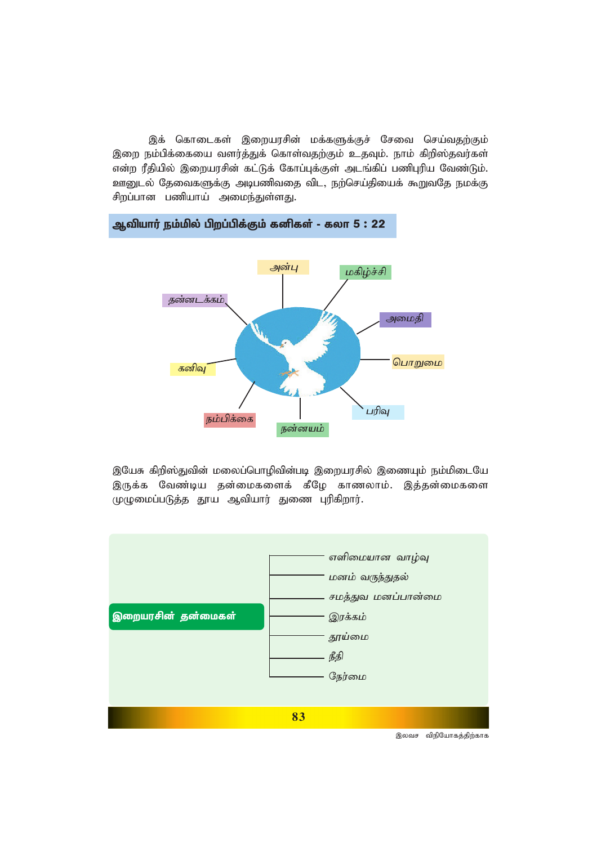இக் கொடைகள் இறையரசின் மக்களுக்குச் சேவை செய்வதற்கும் இறை நம்பிக்கையை வளர்த்துக் கொள்வதற்கும் உதவும். நாம் கிறிஸ்தவர்கள் என்ற ரீதியில் இறையரசின் கட்டுக் கோப்புக்குள் அடங்கிப் பணிபுரிய வேண்டும். ஊனுடல் தேவைகளுக்கு அடிபணிவதை விட, நற்செய்தியைக் கூறுவதே நமக்கு சிறப்பான பணியாய் அமைந்துள்ளது.



ஆவியார் நம்மில் பிறப்பிக்கும் கனிகள் - கலா 5 : 22

இயேசு கிறிஸ்துவின் மலைப்பொழிவின்படி இறையரசில் இணையும் நம்மிடையே இருக்க வேண்டிய தன்மைகளைக் கீழே காணலாம். இத்தன்மைகளை முழுமைப்படுத்த தூய ஆவியார் துணை புரிகிறார்.

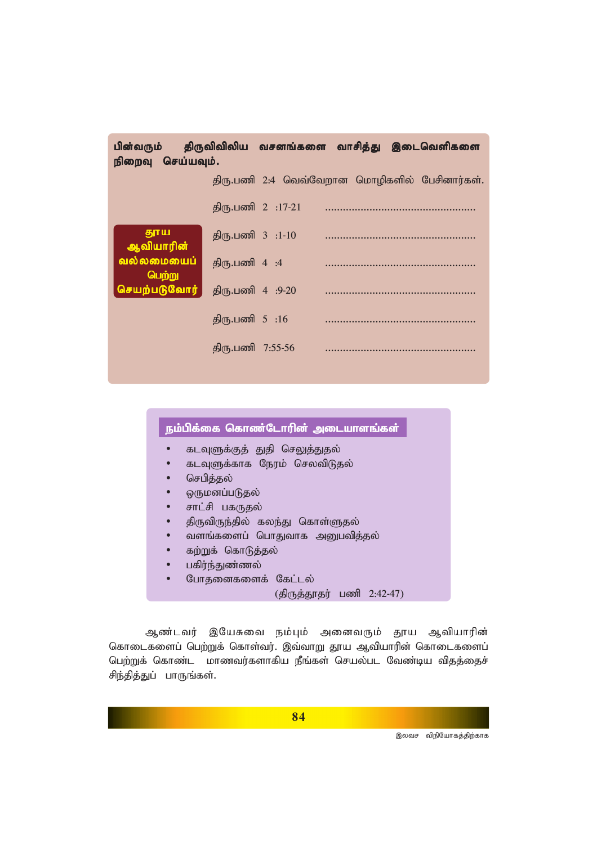| பின்வரும்<br>நிறைவு         | செய்யவும்.    |                   | திருவிவிலிய வசனங்களை வாசித்து இடைவெளிகளை      |  |
|-----------------------------|---------------|-------------------|-----------------------------------------------|--|
|                             |               |                   | திரு.பணி 2:4 வெவ்வேறான மொழிகளில் பேசினார்கள். |  |
|                             |               | திரு.பணி 2 :17-21 |                                               |  |
| தூய<br>ஆவியாரின்            |               | திரு.பணி 3 :1-10  |                                               |  |
| <u>வல்லமையைப்</u><br>பெற்று | திரு.பணி 4:4  |                   |                                               |  |
| செயற்படுவோர்                |               | திரு.பணி 4 :9-20  |                                               |  |
|                             | திரு.பணி 5:16 |                   |                                               |  |
|                             |               | திரு.பணி 7:55-56  |                                               |  |

# நம்பிக்கை கொண்டோரின் அடையாளங்கள்

- கடவுளுக்குத் துதி செலுத்துதல்
- கடவுளுக்காக நேரம் செலவிடுதல்
- *nrgpj;jy;*
- ஒருமனப்படுதல்
- சாட்சி பகருதல்
- திருவிருந்தில் கலந்து கொள்ளுதல்
- வளங்களைப் பொதுவாக அனுபவித்தல்
- கற்றுக் கொடுத்தல்
- பகிர்ந்துண்ணல்
- போதனைகளைக் கேட்டல்

*(jpUj;J}ju; gzp 2:42-47)*

ஆண்டவர் இயேசுவை நம்பும் அனைவரும் தூய ஆவியாரின் கொடைகளைப் பெற்றுக் கொள்வர். இவ்வாறு தூய ஆவியாரின் கொடைகளைப் பெற்றுக் கொண்ட மாணவர்களாகிய நீங்கள் செயல்பட வேண்டிய விதத்தைச் சிந்தித்துப் பாருங்கள்.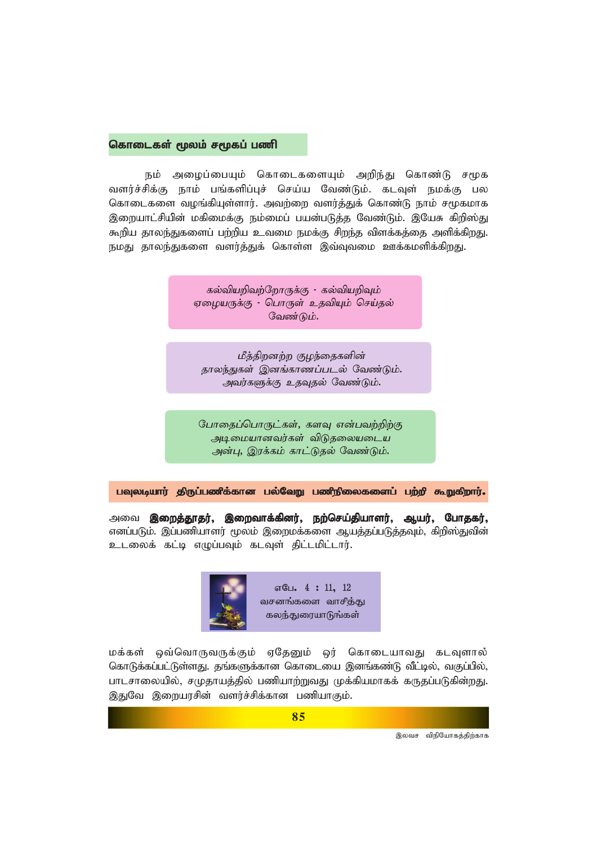### கொடைகள் மூலம் சமூகப் பணி

நம் அழைப்பையும் கொடைகளையும் அறிந்து கொண்டு சமூக வளர்ச்சிக்கு நாம் பங்களிப்புச் செய்ய வேண்டும். கடவுள் நமக்கு பல கொடைகளை வழங்கியுள்ளார். அவற்றை வளர்த்துக் கொண்டு நாம் சமூகமாக இறையாட்சியின் மகிமைக்கு நம்மைப் பயன்படுத்த வேண்டும். இயேசு கிறிஸ்து கூறிய தாலந்துகளைப் பற்றிய உவமை நமக்கு சிறந்த விளக்கத்தை அளிக்கிறது. நமது தாலந்துகளை வளர்த்துக் கொள்ள இவ்வுவமை ஊக்கமளிக்கிறது.

> கல்வியறிவற்றோருக்கு - கல்வியறிவும் ஏழையருக்கு - பொருள் உதவியும் செய்தல் வேண்டும்.

மீத்திறனற்ற குழந்தைகளின் தாலந்துகள் இனங்காணப்படல் வேண்டும். அவர்களுக்கு உதவுதல் வேண்டும்.

போதைப்பொருட்கள், களவு என்பவற்றிற்கு அடிமையானவர்கள் விடுதலையடைய அன்பு, இரக்கம் காட்டுதல் வேண்டும்.

பவுலடியார் திருப்பணிக்கான பல்வேறு பணிநிலைகளைப் பற்றி கூறுகிறார்.

அவை **இறைத்தூதர், இறைவாக்கினர், நற்செய்தியாளர், ஆயர், போதகர்,** எனப்படும். இப்பணியாளர் மூலம் இறைமக்களை ஆயத்தப்படுத்தவும், கிறிஸ்துவின் உடலைக் கட்டி எழுப்பவும் கடவுள் திட்டமிட்டார்.



மக்கள் ஒவ்வொருவருக்கும் ஏதேனும் ஒர் கொடையாவது கடவுளால் கொடுக்கப்பட்டுள்ளது. தங்களுக்கான கொடையை இனங்கண்டு வீட்டில், வகுப்பில், பாடசாலையில், சமுதாயத்தில் பணியாற்றுவது முக்கியமாகக் கருதப்படுகின்றது. இதுவே இறையரசின் வளர்ச்சிக்கான பணியாகும்.